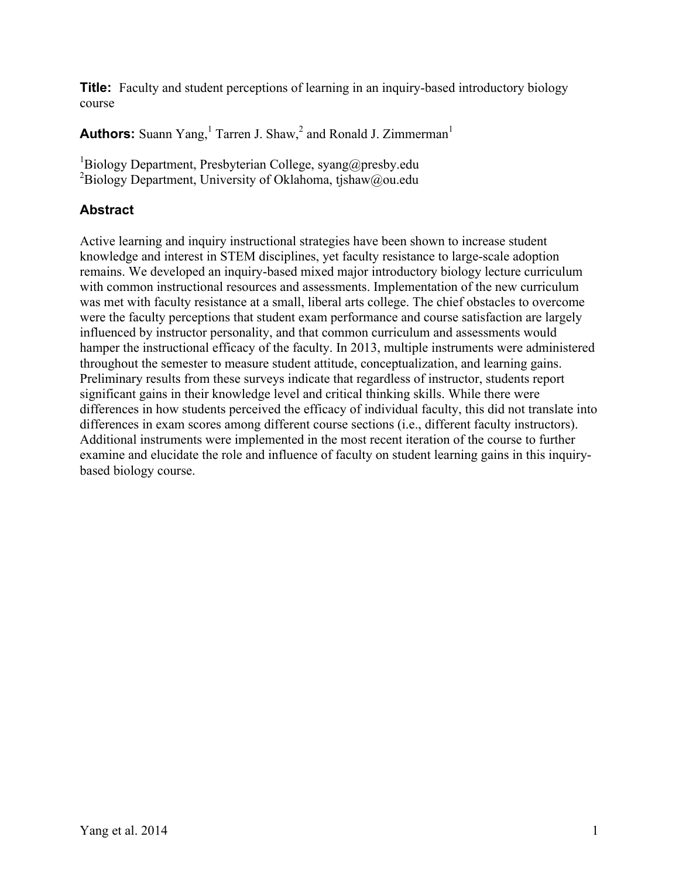**Title:** Faculty and student perceptions of learning in an inquiry-based introductory biology course

**Authors:** Suann Yang,<sup>1</sup> Tarren J. Shaw,<sup>2</sup> and Ronald J. Zimmerman<sup>1</sup>

<sup>1</sup>Biology Department, Presbyterian College, syang@presby.edu <sup>2</sup>Biology Department, University of Oklahoma, tjshaw@ou.edu

# **Abstract**

Active learning and inquiry instructional strategies have been shown to increase student knowledge and interest in STEM disciplines, yet faculty resistance to large-scale adoption remains. We developed an inquiry-based mixed major introductory biology lecture curriculum with common instructional resources and assessments. Implementation of the new curriculum was met with faculty resistance at a small, liberal arts college. The chief obstacles to overcome were the faculty perceptions that student exam performance and course satisfaction are largely influenced by instructor personality, and that common curriculum and assessments would hamper the instructional efficacy of the faculty. In 2013, multiple instruments were administered throughout the semester to measure student attitude, conceptualization, and learning gains. Preliminary results from these surveys indicate that regardless of instructor, students report significant gains in their knowledge level and critical thinking skills. While there were differences in how students perceived the efficacy of individual faculty, this did not translate into differences in exam scores among different course sections (i.e., different faculty instructors). Additional instruments were implemented in the most recent iteration of the course to further examine and elucidate the role and influence of faculty on student learning gains in this inquirybased biology course.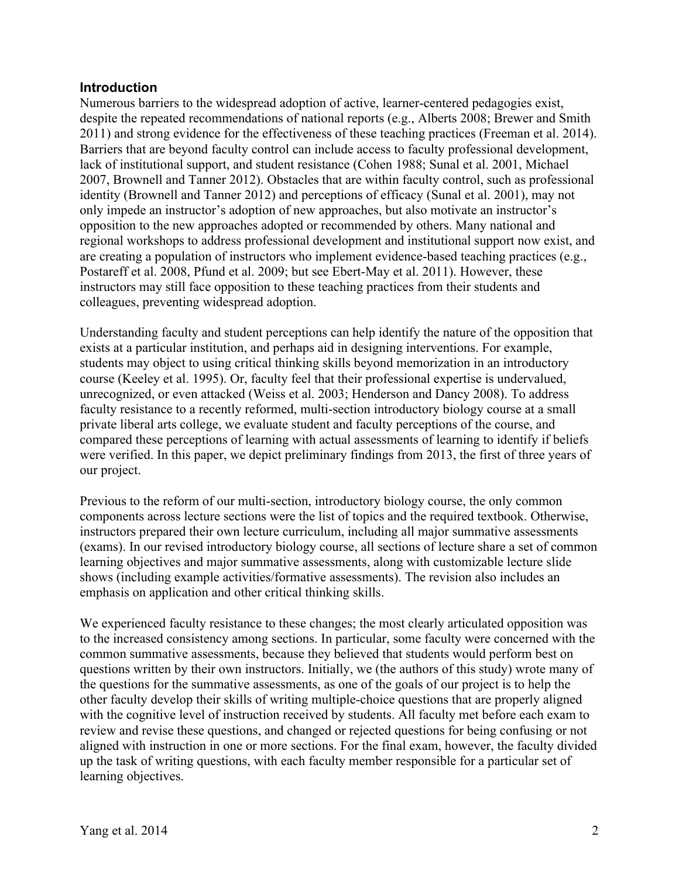### **Introduction**

Numerous barriers to the widespread adoption of active, learner-centered pedagogies exist, despite the repeated recommendations of national reports (e.g., Alberts 2008; Brewer and Smith 2011) and strong evidence for the effectiveness of these teaching practices (Freeman et al. 2014). Barriers that are beyond faculty control can include access to faculty professional development, lack of institutional support, and student resistance (Cohen 1988; Sunal et al. 2001, Michael 2007, Brownell and Tanner 2012). Obstacles that are within faculty control, such as professional identity (Brownell and Tanner 2012) and perceptions of efficacy (Sunal et al. 2001), may not only impede an instructor's adoption of new approaches, but also motivate an instructor's opposition to the new approaches adopted or recommended by others. Many national and regional workshops to address professional development and institutional support now exist, and are creating a population of instructors who implement evidence-based teaching practices (e.g., Postareff et al. 2008, Pfund et al. 2009; but see Ebert-May et al. 2011). However, these instructors may still face opposition to these teaching practices from their students and colleagues, preventing widespread adoption.

Understanding faculty and student perceptions can help identify the nature of the opposition that exists at a particular institution, and perhaps aid in designing interventions. For example, students may object to using critical thinking skills beyond memorization in an introductory course (Keeley et al. 1995). Or, faculty feel that their professional expertise is undervalued, unrecognized, or even attacked (Weiss et al. 2003; Henderson and Dancy 2008). To address faculty resistance to a recently reformed, multi-section introductory biology course at a small private liberal arts college, we evaluate student and faculty perceptions of the course, and compared these perceptions of learning with actual assessments of learning to identify if beliefs were verified. In this paper, we depict preliminary findings from 2013, the first of three years of our project.

Previous to the reform of our multi-section, introductory biology course, the only common components across lecture sections were the list of topics and the required textbook. Otherwise, instructors prepared their own lecture curriculum, including all major summative assessments (exams). In our revised introductory biology course, all sections of lecture share a set of common learning objectives and major summative assessments, along with customizable lecture slide shows (including example activities/formative assessments). The revision also includes an emphasis on application and other critical thinking skills.

We experienced faculty resistance to these changes; the most clearly articulated opposition was to the increased consistency among sections. In particular, some faculty were concerned with the common summative assessments, because they believed that students would perform best on questions written by their own instructors. Initially, we (the authors of this study) wrote many of the questions for the summative assessments, as one of the goals of our project is to help the other faculty develop their skills of writing multiple-choice questions that are properly aligned with the cognitive level of instruction received by students. All faculty met before each exam to review and revise these questions, and changed or rejected questions for being confusing or not aligned with instruction in one or more sections. For the final exam, however, the faculty divided up the task of writing questions, with each faculty member responsible for a particular set of learning objectives.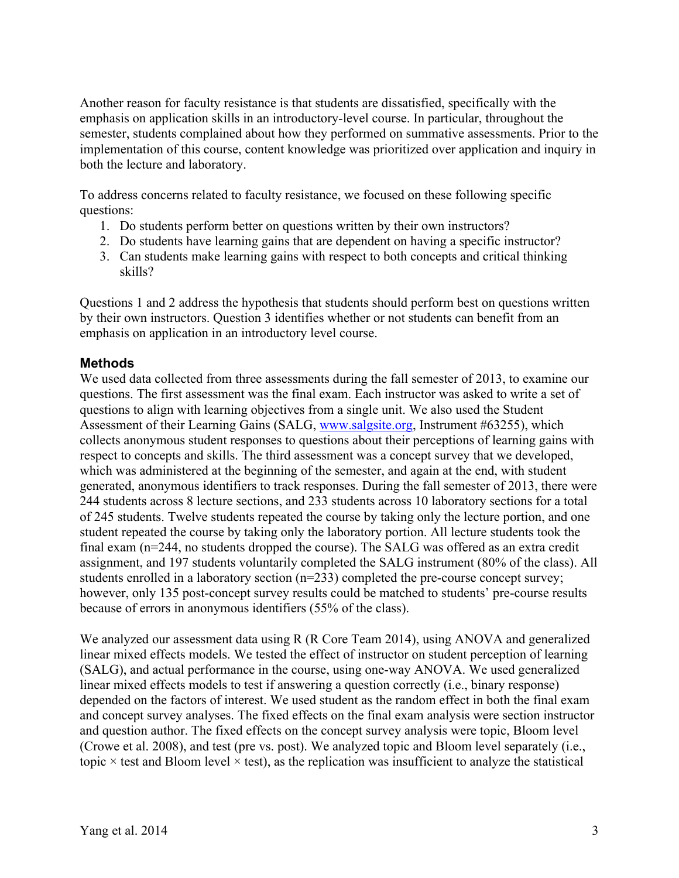Another reason for faculty resistance is that students are dissatisfied, specifically with the emphasis on application skills in an introductory-level course. In particular, throughout the semester, students complained about how they performed on summative assessments. Prior to the implementation of this course, content knowledge was prioritized over application and inquiry in both the lecture and laboratory.

To address concerns related to faculty resistance, we focused on these following specific questions:

- 1. Do students perform better on questions written by their own instructors?
- 2. Do students have learning gains that are dependent on having a specific instructor?
- 3. Can students make learning gains with respect to both concepts and critical thinking skills?

Questions 1 and 2 address the hypothesis that students should perform best on questions written by their own instructors. Question 3 identifies whether or not students can benefit from an emphasis on application in an introductory level course.

### **Methods**

We used data collected from three assessments during the fall semester of 2013, to examine our questions. The first assessment was the final exam. Each instructor was asked to write a set of questions to align with learning objectives from a single unit. We also used the Student Assessment of their Learning Gains (SALG, www.salgsite.org, Instrument #63255), which collects anonymous student responses to questions about their perceptions of learning gains with respect to concepts and skills. The third assessment was a concept survey that we developed, which was administered at the beginning of the semester, and again at the end, with student generated, anonymous identifiers to track responses. During the fall semester of 2013, there were 244 students across 8 lecture sections, and 233 students across 10 laboratory sections for a total of 245 students. Twelve students repeated the course by taking only the lecture portion, and one student repeated the course by taking only the laboratory portion. All lecture students took the final exam (n=244, no students dropped the course). The SALG was offered as an extra credit assignment, and 197 students voluntarily completed the SALG instrument (80% of the class). All students enrolled in a laboratory section (n=233) completed the pre-course concept survey; however, only 135 post-concept survey results could be matched to students' pre-course results because of errors in anonymous identifiers (55% of the class).

We analyzed our assessment data using R (R Core Team 2014), using ANOVA and generalized linear mixed effects models. We tested the effect of instructor on student perception of learning (SALG), and actual performance in the course, using one-way ANOVA. We used generalized linear mixed effects models to test if answering a question correctly (i.e., binary response) depended on the factors of interest. We used student as the random effect in both the final exam and concept survey analyses. The fixed effects on the final exam analysis were section instructor and question author. The fixed effects on the concept survey analysis were topic, Bloom level (Crowe et al. 2008), and test (pre vs. post). We analyzed topic and Bloom level separately (i.e., topic  $\times$  test and Bloom level  $\times$  test), as the replication was insufficient to analyze the statistical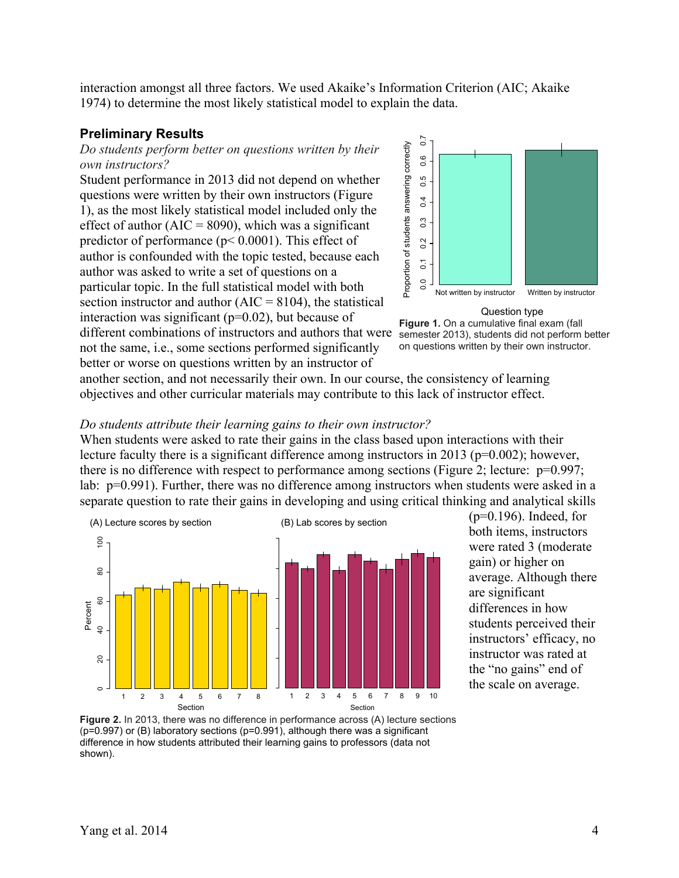interaction amongst all three factors. We used Akaike's Information Criterion (AIC; Akaike 1974) to determine the most likely statistical model to explain the data.

#### **Preliminary Results**

*Do students perform better on questions written by their own instructors?*

Student performance in 2013 did not depend on whether questions were written by their own instructors (Figure 1), as the most likely statistical model included only the effect of author ( $AIC = 8090$ ), which was a significant predictor of performance ( $p < 0.0001$ ). This effect of author is confounded with the topic tested, because each author was asked to write a set of questions on a particular topic. In the full statistical model with both section instructor and author  $(AIC = 8104)$ , the statistical interaction was significant  $(p=0.02)$ , but because of different combinations of instructors and authors that were not the same, i.e., some sections performed significantly

better or worse on questions written by an instructor of



Question type

**Figure 1.** On a cumulative final exam (fall semester 2013), students did not perform better on questions written by their own instructor.

another section, and not necessarily their own. In our course, the consistency of learning objectives and other curricular materials may contribute to this lack of instructor effect.

#### *Do students attribute their learning gains to their own instructor?*

When students were asked to rate their gains in the class based upon interactions with their lecture faculty there is a significant difference among instructors in 2013 (p=0.002); however, there is no difference with respect to performance among sections (Figure 2; lecture: p=0.997; lab: p=0.991). Further, there was no difference among instructors when students were asked in a separate question to rate their gains in developing and using critical thinking and analytical skills



 $(p=0.196)$ . Indeed, for both items, instructors were rated 3 (moderate gain) or higher on average. Although there are significant differences in how students perceived their instructors' efficacy, no instructor was rated at the "no gains" end of the scale on average.

**Figure 2.** In 2013, there was no difference in performance across (A) lecture sections (p=0.997) or (B) laboratory sections (p=0.991), although there was a significant difference in how students attributed their learning gains to professors (data not shown).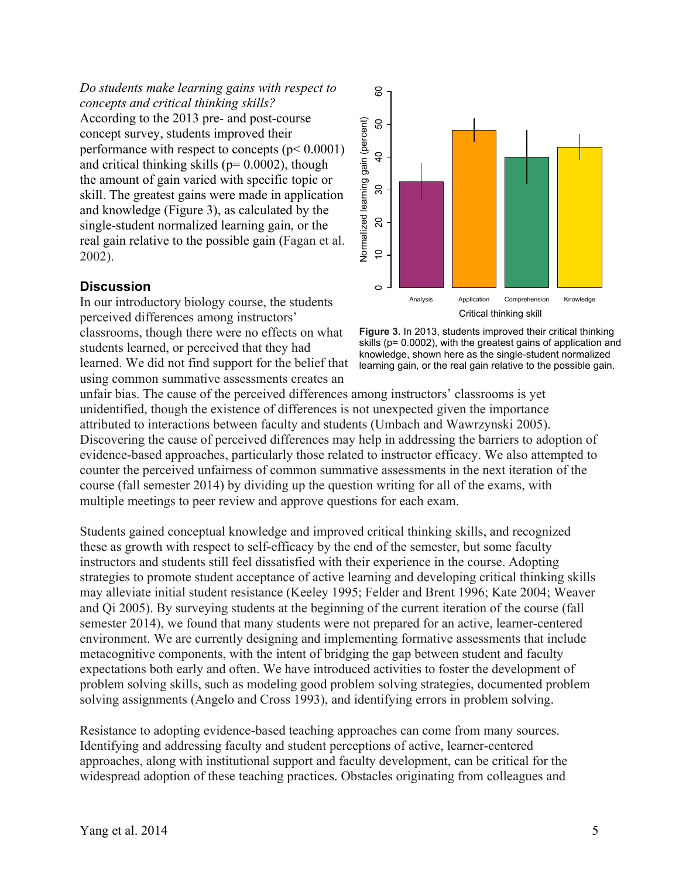*Do students make learning gains with respect to concepts and critical thinking skills?* According to the 2013 pre- and post-course concept survey, students improved their performance with respect to concepts (p< 0.0001) and critical thinking skills ( $p= 0.0002$ ), though the amount of gain varied with specific topic or skill. The greatest gains were made in application and knowledge (Figure 3), as calculated by the single-student normalized learning gain, or the real gain relative to the possible gain (Fagan et al. 2002).

## **Discussion**

In our introductory biology course, the students perceived differences among instructors' classrooms, though there were no effects on what students learned, or perceived that they had learned. We did not find support for the belief that using common summative assessments creates an





unfair bias. The cause of the perceived differences among instructors' classrooms is yet unidentified, though the existence of differences is not unexpected given the importance attributed to interactions between faculty and students (Umbach and Wawrzynski 2005). Discovering the cause of perceived differences may help in addressing the barriers to adoption of evidence-based approaches, particularly those related to instructor efficacy. We also attempted to counter the perceived unfairness of common summative assessments in the next iteration of the course (fall semester 2014) by dividing up the question writing for all of the exams, with multiple meetings to peer review and approve questions for each exam.

Students gained conceptual knowledge and improved critical thinking skills, and recognized these as growth with respect to self-efficacy by the end of the semester, but some faculty instructors and students still feel dissatisfied with their experience in the course. Adopting strategies to promote student acceptance of active learning and developing critical thinking skills may alleviate initial student resistance (Keeley 1995; Felder and Brent 1996; Kate 2004; Weaver and Qi 2005). By surveying students at the beginning of the current iteration of the course (fall semester 2014), we found that many students were not prepared for an active, learner-centered environment. We are currently designing and implementing formative assessments that include metacognitive components, with the intent of bridging the gap between student and faculty expectations both early and often. We have introduced activities to foster the development of problem solving skills, such as modeling good problem solving strategies, documented problem solving assignments (Angelo and Cross 1993), and identifying errors in problem solving.

Resistance to adopting evidence-based teaching approaches can come from many sources. Identifying and addressing faculty and student perceptions of active, learner-centered approaches, along with institutional support and faculty development, can be critical for the widespread adoption of these teaching practices. Obstacles originating from colleagues and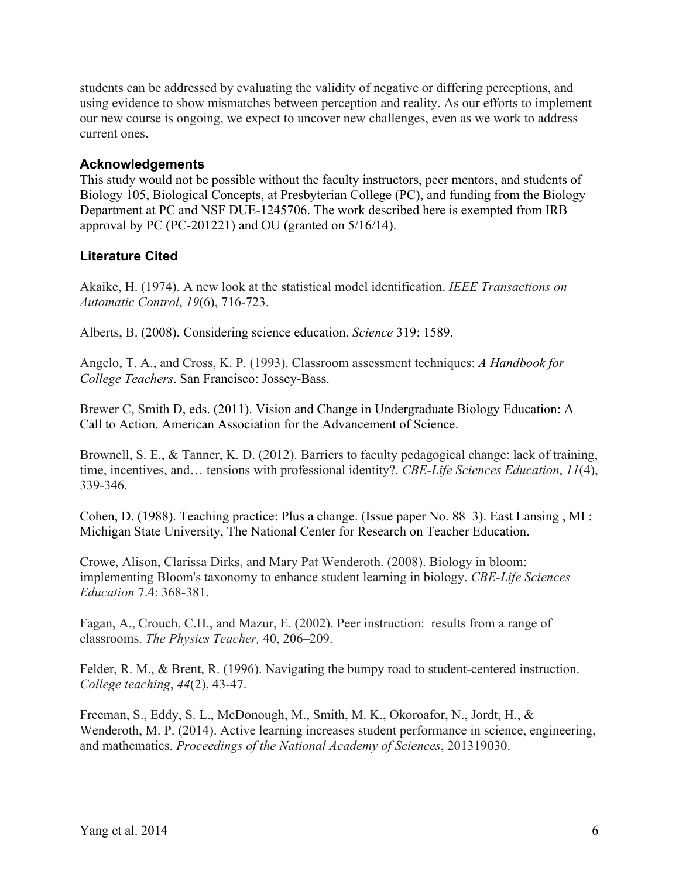students can be addressed by evaluating the validity of negative or differing perceptions, and using evidence to show mismatches between perception and reality. As our efforts to implement our new course is ongoing, we expect to uncover new challenges, even as we work to address current ones.

### **Acknowledgements**

This study would not be possible without the faculty instructors, peer mentors, and students of Biology 105, Biological Concepts, at Presbyterian College (PC), and funding from the Biology Department at PC and NSF DUE-1245706. The work described here is exempted from IRB approval by PC (PC-201221) and OU (granted on 5/16/14).

# **Literature Cited**

Akaike, H. (1974). A new look at the statistical model identification. *IEEE Transactions on Automatic Control*, *19*(6), 716-723.

Alberts, B. (2008). Considering science education. *Science* 319: 1589.

Angelo, T. A., and Cross, K. P. (1993). Classroom assessment techniques: *A Handbook for College Teachers*. San Francisco: Jossey-Bass.

Brewer C, Smith D, eds. (2011). Vision and Change in Undergraduate Biology Education: A Call to Action. American Association for the Advancement of Science.

Brownell, S. E., & Tanner, K. D. (2012). Barriers to faculty pedagogical change: lack of training, time, incentives, and… tensions with professional identity?. *CBE-Life Sciences Education*, *11*(4), 339-346.

Cohen, D. (1988). Teaching practice: Plus a change. (Issue paper No. 88–3). East Lansing , MI : Michigan State University, The National Center for Research on Teacher Education.

Crowe, Alison, Clarissa Dirks, and Mary Pat Wenderoth. (2008). Biology in bloom: implementing Bloom's taxonomy to enhance student learning in biology. *CBE-Life Sciences Education* 7.4: 368-381.

Fagan, A., Crouch, C.H., and Mazur, E. (2002). Peer instruction: results from a range of classrooms. *The Physics Teacher,* 40, 206–209.

Felder, R. M., & Brent, R. (1996). Navigating the bumpy road to student-centered instruction. *College teaching*, *44*(2), 43-47.

Freeman, S., Eddy, S. L., McDonough, M., Smith, M. K., Okoroafor, N., Jordt, H., & Wenderoth, M. P. (2014). Active learning increases student performance in science, engineering, and mathematics. *Proceedings of the National Academy of Sciences*, 201319030.